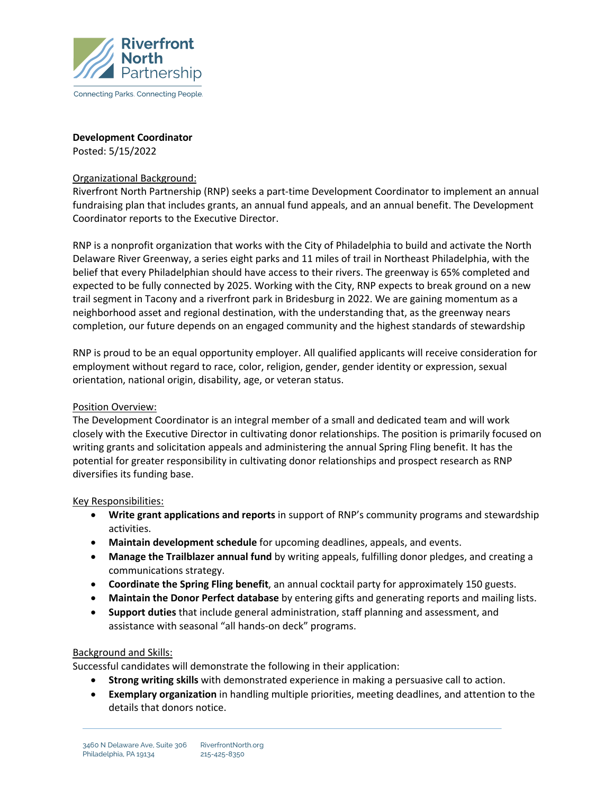

**Development Coordinator**

Posted: 5/15/2022

### Organizational Background:

Riverfront North Partnership (RNP) seeks a part-time Development Coordinator to implement an annual fundraising plan that includes grants, an annual fund appeals, and an annual benefit. The Development Coordinator reports to the Executive Director.

RNP is a nonprofit organization that works with the City of Philadelphia to build and activate the North Delaware River Greenway, a series eight parks and 11 miles of trail in Northeast Philadelphia, with the belief that every Philadelphian should have access to their rivers. The greenway is 65% completed and expected to be fully connected by 2025. Working with the City, RNP expects to break ground on a new trail segment in Tacony and a riverfront park in Bridesburg in 2022. We are gaining momentum as a neighborhood asset and regional destination, with the understanding that, as the greenway nears completion, our future depends on an engaged community and the highest standards of stewardship

RNP is proud to be an equal opportunity employer. All qualified applicants will receive consideration for employment without regard to race, color, religion, gender, gender identity or expression, sexual orientation, national origin, disability, age, or veteran status.

### Position Overview:

The Development Coordinator is an integral member of a small and dedicated team and will work closely with the Executive Director in cultivating donor relationships. The position is primarily focused on writing grants and solicitation appeals and administering the annual Spring Fling benefit. It has the potential for greater responsibility in cultivating donor relationships and prospect research as RNP diversifies its funding base.

### Key Responsibilities:

- **Write grant applications and reports** in support of RNP's community programs and stewardship activities.
- **Maintain development schedule** for upcoming deadlines, appeals, and events.
- **Manage the Trailblazer annual fund** by writing appeals, fulfilling donor pledges, and creating a communications strategy.
- **Coordinate the Spring Fling benefit**, an annual cocktail party for approximately 150 guests.
- **Maintain the Donor Perfect database** by entering gifts and generating reports and mailing lists.
- **Support duties** that include general administration, staff planning and assessment, and assistance with seasonal "all hands-on deck" programs.

# Background and Skills:

Successful candidates will demonstrate the following in their application:

- **Strong writing skills** with demonstrated experience in making a persuasive call to action.
- **Exemplary organization** in handling multiple priorities, meeting deadlines, and attention to the details that donors notice.